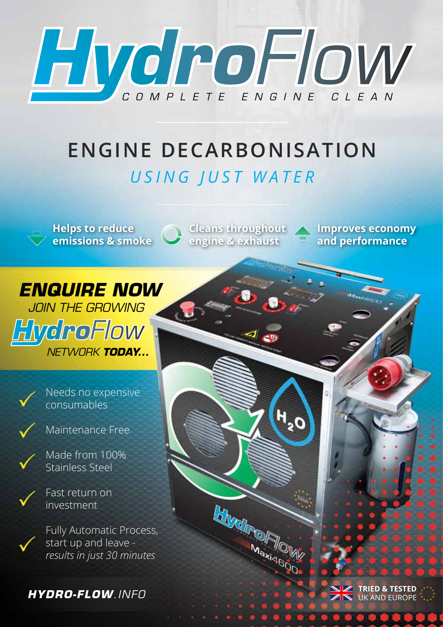

# **ENGINE DECARBONISATION** *USING JUST WATER*



**Helps to reduce emissions & smoke** **Cleans throughout engine & exhaust**

 $H_{20}$ 

**HIMdreWalls** 

Maxi4600

**Improves economy and performance**





Maintenance Free

Made from 100% Stainless Steel



Fast return on investment

Fully Automatic Process, start up and leave *results in just 30 minutes*

**HYDRO-FLOW**.INFO

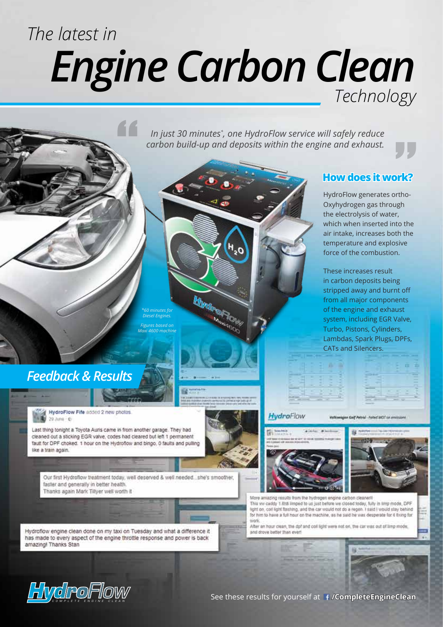# *The latest in Engine Carbon Clean Technology*

**Mortgowy** Maxi466c

*In just 30 minutes\* , one HydroFlow service will safely reduce carbon build-up and deposits within the engine and exhaust.*

### **How does it work?**

HydroFlow generates ortho-Oxyhydrogen gas through the electrolysis of water, which when inserted into the air intake, increases both the temperature and explosive force of the combustion.

These increases result in carbon deposits being stripped away and burnt off from all major components of the engine and exhaust system, including EGR Valve, Turbo, Pistons, Cylinders, Lambdas, Spark Plugs, DPFs, CATs and Silencers.



en Golf Petrol - Falled MOT on emittie

#### HydroFlow





More amazing results from the hydrogen engine carbon cleaner! This vw caddy 1.6td limped to us just before we closed today, fully in limp mode, DPF light on, coil light flashing, and the car would not do a regon. I said I would stay behind for him to have a full hour on the machine as he said he was desperate for it fixing for work

After an hour clean, the dot and coll light were not on, the car was out of limp mode and drove better than ever

*Diesel Engines. Figures based on Maxi 4600 machine*

"

*Feedback & Results* 

HydroFlow Fife added 2 new photos 29.hms - 6

Last thing tonight a Toyota Auris came in from another garage. They had cleaned out a sticking EGR valve, codes had cleared but left 1 permanent fault for DPF choked. 1 hour on the Hydroflow and bingo, 0 faults and pulling like a train again.

Our first Hydroflow treatment today, well deserved & well needed ... she's smoother, faster and generally in better health Thanks again Mark Tillyer well worth it

Hydroflow engine clean done on my taxi on Tuesday and what a difference it has made to every aspect of the engine throttle response and power is back amazing! Thanks Stan



See these results for yourself at **/CompleteEngineClean**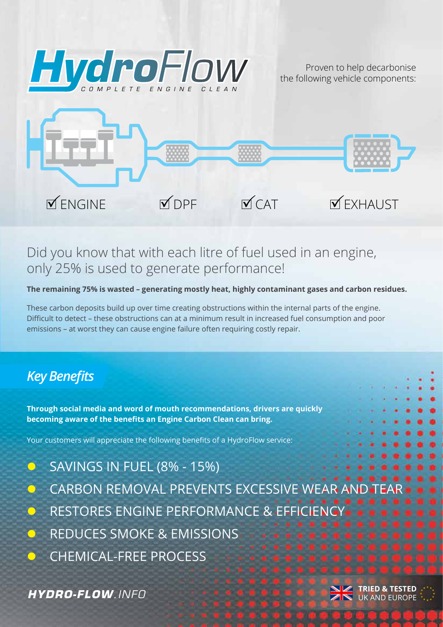

Proven to help decarbonise the following vehicle components:



# Did you know that with each litre of fuel used in an engine, only 25% is used to generate performance!

**The remaining 75% is wasted – generating mostly heat, highly contaminant gases and carbon residues.**

These carbon deposits build up over time creating obstructions within the internal parts of the engine. Difficult to detect – these obstructions can at a minimum result in increased fuel consumption and poor emissions – at worst they can cause engine failure often requiring costly repair.

# *Key Benefits*

**Through social media and word of mouth recommendations, drivers are quickly becoming aware of the benefits an Engine Carbon Clean can bring.**

Your customers will appreciate the following benefits of a HydroFlow service:

- l SAVINGS IN FUEL (8% 15%)
- CARBON REMOVAL PREVENTS EXCESSIVE WEAR AN
- l RESTORES ENGINE PERFORMANCE & EFFICIENCY
- l REDUCES SMOKE & EMISSIONS
- **CHEMICAL-FREE PROCESS**

**THYDRO-FLOW**. INFO